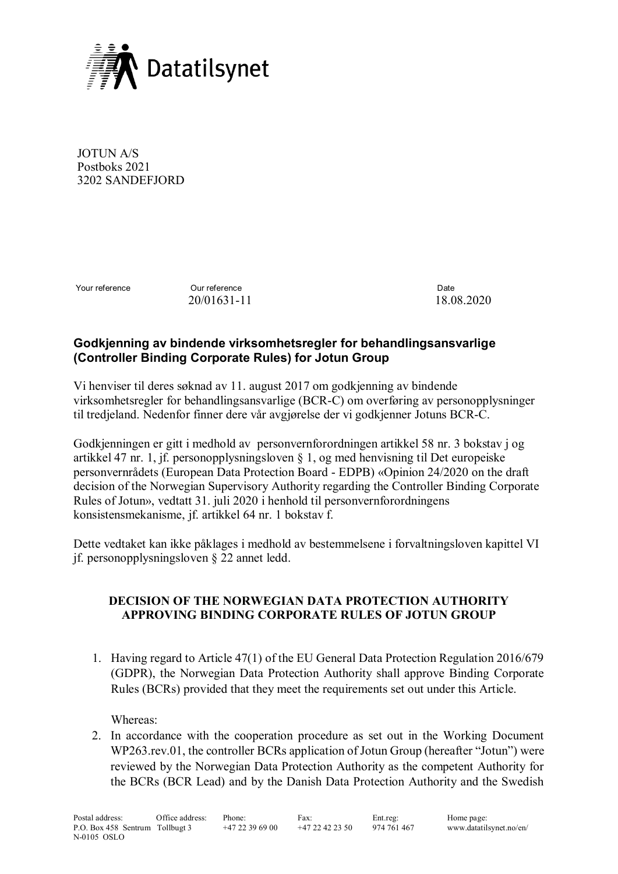

JOTUN A/S Postboks 2021 3202 SANDEFJORD

Your reference **Our reference Our reference Date** 

20/01631-11 18.08.2020

## **Godkjenning av bindende virksomhetsregler for behandlingsansvarlige (Controller Binding Corporate Rules) for Jotun Group**

Vi henviser til deres søknad av 11. august 2017 om godkjenning av bindende virksomhetsregler for behandlingsansvarlige (BCR-C) om overføring av personopplysninger til tredjeland. Nedenfor finner dere vår avgjørelse der vi godkjenner Jotuns BCR-C.

Godkjenningen er gitt i medhold av personvernforordningen artikkel 58 nr. 3 bokstav j og artikkel 47 nr. 1, jf. personopplysningsloven § 1, og med henvisning til Det europeiske personvernrådets (European Data Protection Board - EDPB) «Opinion 24/2020 on the draft decision of the Norwegian Supervisory Authority regarding the Controller Binding Corporate Rules of Jotun», vedtatt 31. juli 2020 i henhold til personvernforordningens konsistensmekanisme, jf. artikkel 64 nr. 1 bokstav f.

Dette vedtaket kan ikke påklages i medhold av bestemmelsene i forvaltningsloven kapittel VI jf. personopplysningsloven § 22 annet ledd.

## **DECISION OF THE NORWEGIAN DATA PROTECTION AUTHORITY APPROVING BINDING CORPORATE RULES OF JOTUN GROUP**

1. Having regard to Article 47(1) of the EU General Data Protection Regulation 2016/679 (GDPR), the Norwegian Data Protection Authority shall approve Binding Corporate Rules (BCRs) provided that they meet the requirements set out under this Article.

Whereas:

2. In accordance with the cooperation procedure as set out in the Working Document WP263.rev.01, the controller BCRs application of Jotun Group (hereafter "Jotun") were reviewed by the Norwegian Data Protection Authority as the competent Authority for the BCRs (BCR Lead) and by the Danish Data Protection Authority and the Swedish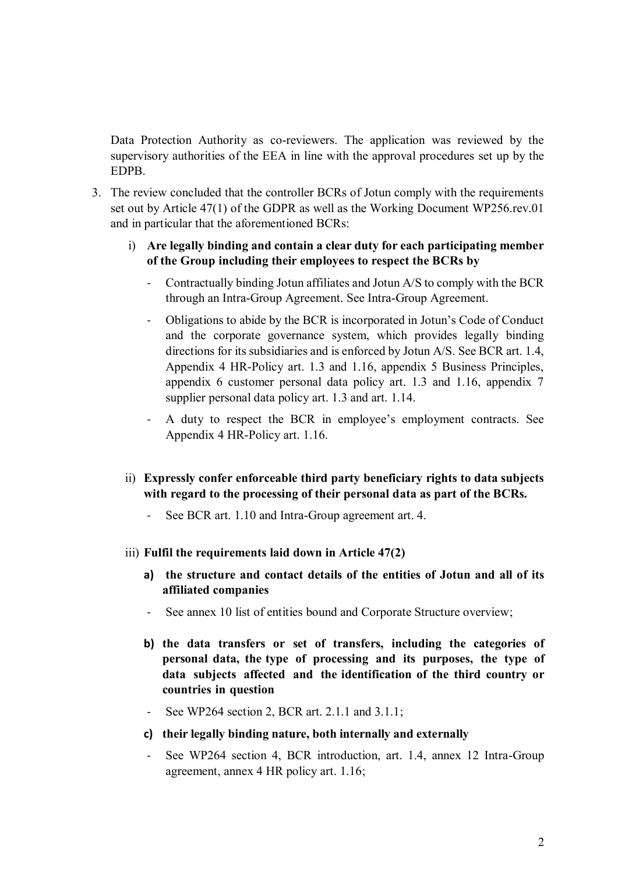Data Protection Authority as co-reviewers. The application was reviewed by the supervisory authorities of the EEA in line with the approval procedures set up by the EDPB.

- 3. The review concluded that the controller BCRs of Jotun comply with the requirements set out by Article 47(1) of the GDPR as well as the Working Document WP256.rev.01 and in particular that the aforementioned BCRs:
	- i) **Are legally binding and contain a clear duty for each participating member of the Group including their employees to respect the BCRs by** 
		- Contractually binding Jotun affiliates and Jotun A/S to comply with the BCR through an Intra-Group Agreement. See Intra-Group Agreement.
		- Obligations to abide by the BCR is incorporated in Jotun's Code of Conduct and the corporate governance system, which provides legally binding directions for its subsidiaries and is enforced by Jotun A/S. See BCR art. 1.4, Appendix 4 HR-Policy art. 1.3 and 1.16, appendix 5 Business Principles, appendix 6 customer personal data policy art. 1.3 and 1.16, appendix 7 supplier personal data policy art. 1.3 and art. 1.14.
		- A duty to respect the BCR in employee's employment contracts. See Appendix 4 HR-Policy art. 1.16.
	- ii) **Expressly confer enforceable third party beneficiary rights to data subjects with regard to the processing of their personal data as part of the BCRs.**
		- See BCR art. 1.10 and Intra-Group agreement art. 4.
	- iii) **Fulfil the requirements laid down in Article 47(2)**
		- **a) the structure and contact details of the entities of Jotun and all of its affiliated companies**
		- See annex 10 list of entities bound and Corporate Structure overview;
		- **b) the data transfers or set of transfers, including the categories of personal data, the type of processing and its purposes, the type of data subjects affected and the identification of the third country or countries in question**
		- See WP264 section 2, BCR art. 2.1.1 and 3.1.1;
		- **c) their legally binding nature, both internally and externally**
		- See WP264 section 4, BCR introduction, art. 1.4, annex 12 Intra-Group agreement, annex 4 HR policy art. 1.16;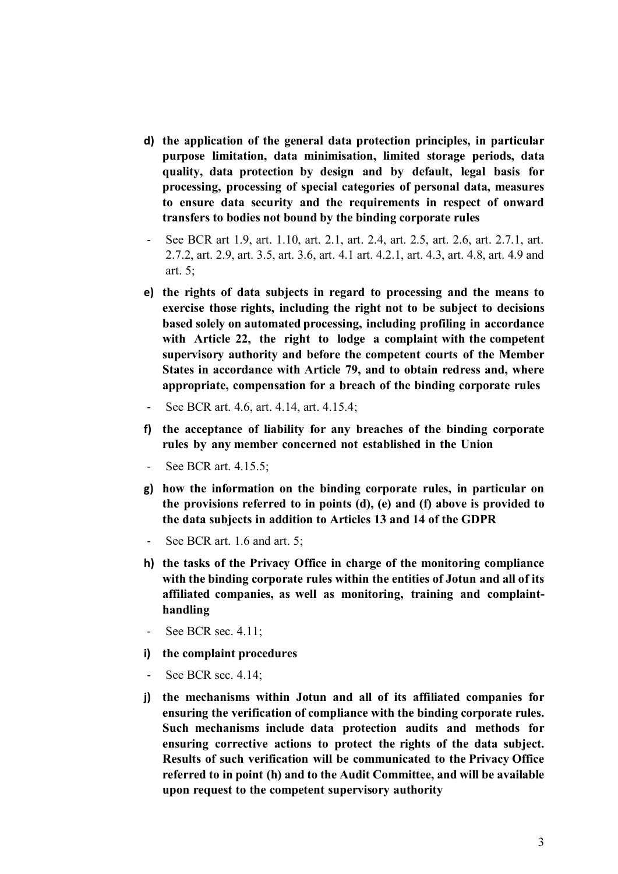- **d) the application of the general data protection principles, in particular purpose limitation, data minimisation, limited storage periods, data quality, data protection by design and by default, legal basis for processing, processing of special categories of personal data, measures to ensure data security and the requirements in respect of onward transfers to bodies not bound by the binding corporate rules**
- See BCR art 1.9, art. 1.10, art. 2.1, art. 2.4, art. 2.5, art. 2.6, art. 2.7.1, art. 2.7.2, art. 2.9, art. 3.5, art. 3.6, art. 4.1 art. 4.2.1, art. 4.3, art. 4.8, art. 4.9 and art. 5;
- **e) the rights of data subjects in regard to processing and the means to exercise those rights, including the right not to be subject to decisions based solely on automated processing, including profiling in accordance with Article 22, the right to lodge a complaint with the competent supervisory authority and before the competent courts of the Member States in accordance with Article 79, and to obtain redress and, where appropriate, compensation for a breach of the binding corporate rules**
- See BCR art. 4.6, art. 4.14, art. 4.15.4;
- **f) the acceptance of liability for any breaches of the binding corporate rules by any member concerned not established in the Union**
- See BCR art. 4.15.5;
- **g) how the information on the binding corporate rules, in particular on the provisions referred to in points (d), (e) and (f) above is provided to the data subjects in addition to Articles 13 and 14 of the GDPR**
- See BCR art. 1.6 and art. 5;
- **h) the tasks of the Privacy Office in charge of the monitoring compliance with the binding corporate rules within the entities of Jotun and all of its affiliated companies, as well as monitoring, training and complainthandling**
- See BCR sec. 4.11;
- **i) the complaint procedures**
- See BCR sec. 4.14;
- **j) the mechanisms within Jotun and all of its affiliated companies for ensuring the verification of compliance with the binding corporate rules. Such mechanisms include data protection audits and methods for ensuring corrective actions to protect the rights of the data subject. Results of such verification will be communicated to the Privacy Office referred to in point (h) and to the Audit Committee, and will be available upon request to the competent supervisory authority**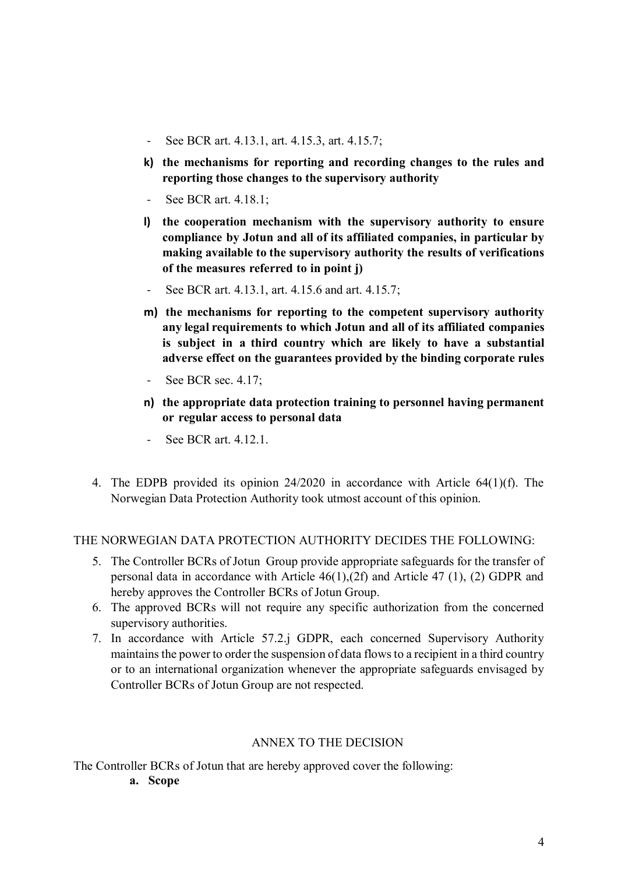- See BCR art. 4.13.1, art. 4.15.3, art. 4.15.7;
- **k) the mechanisms for reporting and recording changes to the rules and reporting those changes to the supervisory authority**
- See BCR art. 4.18.1;
- **l) the cooperation mechanism with the supervisory authority to ensure compliance by Jotun and all of its affiliated companies, in particular by making available to the supervisory authority the results of verifications of the measures referred to in point j)**
- See BCR art. 4.13.1, art. 4.15.6 and art. 4.15.7;
- **m) the mechanisms for reporting to the competent supervisory authority any legal requirements to which Jotun and all of its affiliated companies is subject in a third country which are likely to have a substantial adverse effect on the guarantees provided by the binding corporate rules**
- See BCR sec. 4.17;
- **n) the appropriate data protection training to personnel having permanent or regular access to personal data**
- See BCR art. 4.12.1.
- 4. The EDPB provided its opinion 24/2020 in accordance with Article 64(1)(f). The Norwegian Data Protection Authority took utmost account of this opinion.

## THE NORWEGIAN DATA PROTECTION AUTHORITY DECIDES THE FOLLOWING:

- 5. The Controller BCRs of Jotun Group provide appropriate safeguards for the transfer of personal data in accordance with Article 46(1),(2f) and Article 47 (1), (2) GDPR and hereby approves the Controller BCRs of Jotun Group.
- 6. The approved BCRs will not require any specific authorization from the concerned supervisory authorities.
- 7. In accordance with Article 57.2.j GDPR, each concerned Supervisory Authority maintains the power to order the suspension of data flows to a recipient in a third country or to an international organization whenever the appropriate safeguards envisaged by Controller BCRs of Jotun Group are not respected.

## ANNEX TO THE DECISION

The Controller BCRs of Jotun that are hereby approved cover the following:

**a. Scope**